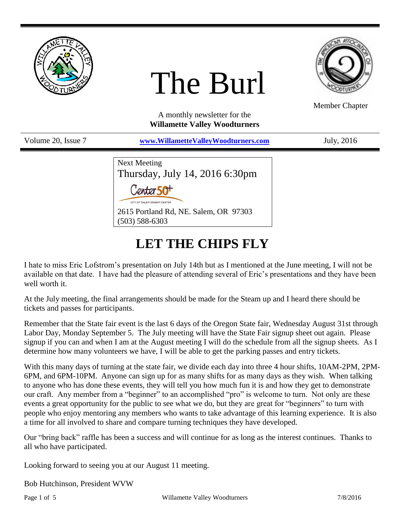

# The Burl



Member Chapter

A monthly newsletter for the **Willamette Valley Woodturners**

Volume 20, Issue 7 **[www.WillametteValleyWoodturners.com](http://www.willamettevalleywoodturners.com/)** July, 2016

| Next Meeting                          |
|---------------------------------------|
| Thursday, July 14, 2016 6:30pm        |
| Center 50 <sup>+</sup>                |
| CITY OF SALEM SENIOR CENTER           |
| 2615 Portland Rd, NE. Salem, OR 97303 |
| $(503) 588 - 6303$                    |

# **LET THE CHIPS FLY**

I hate to miss Eric Lofstrom's presentation on July 14th but as I mentioned at the June meeting, I will not be available on that date. I have had the pleasure of attending several of Eric's presentations and they have been well worth it.

At the July meeting, the final arrangements should be made for the Steam up and I heard there should be tickets and passes for participants.

Remember that the State fair event is the last 6 days of the Oregon State fair, Wednesday August 31st through Labor Day, Monday September 5. The July meeting will have the State Fair signup sheet out again. Please signup if you can and when I am at the August meeting I will do the schedule from all the signup sheets. As I determine how many volunteers we have, I will be able to get the parking passes and entry tickets.

With this many days of turning at the state fair, we divide each day into three 4 hour shifts, 10AM-2PM, 2PM-6PM, and 6PM-10PM. Anyone can sign up for as many shifts for as many days as they wish. When talking to anyone who has done these events, they will tell you how much fun it is and how they get to demonstrate our craft. Any member from a "beginner" to an accomplished "pro" is welcome to turn. Not only are these events a great opportunity for the public to see what we do, but they are great for "beginners" to turn with people who enjoy mentoring any members who wants to take advantage of this learning experience. It is also a time for all involved to share and compare turning techniques they have developed.

Our "bring back" raffle has been a success and will continue for as long as the interest continues. Thanks to all who have participated.

Looking forward to seeing you at our August 11 meeting.

Bob Hutchinson, President WVW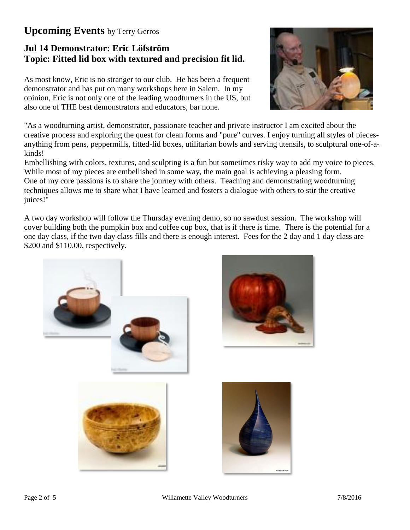# **Upcoming Events** by Terry Gerros

# **Jul 14 Demonstrator: Eric Löfström Topic: Fitted lid box with textured and precision fit lid.**

As most know, Eric is no stranger to our club. He has been a frequent demonstrator and has put on many workshops here in Salem. In my opinion, Eric is not only one of the leading woodturners in the US, but also one of THE best demonstrators and educators, bar none.



"As a woodturning artist, demonstrator, passionate teacher and private instructor I am excited about the creative process and exploring the quest for clean forms and "pure" curves. I enjoy turning all styles of piecesanything from pens, peppermills, fitted-lid boxes, utilitarian bowls and serving utensils, to sculptural one-of-akinds!

Embellishing with colors, textures, and sculpting is a fun but sometimes risky way to add my voice to pieces. While most of my pieces are embellished in some way, the main goal is achieving a pleasing form. One of my core passions is to share the journey with others. Teaching and demonstrating woodturning techniques allows me to share what I have learned and fosters a dialogue with others to stir the creative juices!"

A two day workshop will follow the Thursday evening demo, so no sawdust session. The workshop will cover building both the pumpkin box and coffee cup box, that is if there is time. There is the potential for a one day class, if the two day class fills and there is enough interest. Fees for the 2 day and 1 day class are \$200 and \$110.00, respectively.





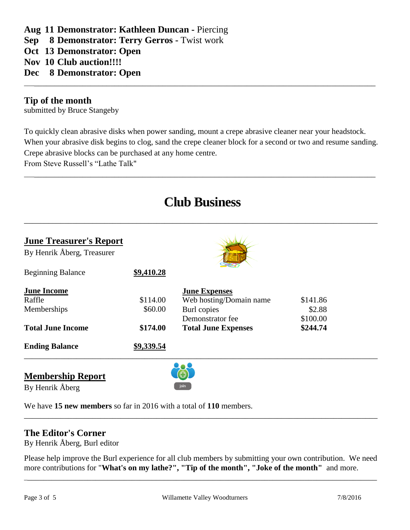## **Aug 11 Demonstrator: Kathleen Duncan -** Piercing

**Sep 8 Demonstrator: Terry Gerros -** Twist work

**Oct 13 Demonstrator: Open**

**Nov 10 Club auction!!!!**

**Dec 8 Demonstrator: Open**

#### **Tip of the month**

submitted by Bruce Stangeby

To quickly clean abrasive disks when power sanding, mount a crepe abrasive cleaner near your headstock. When your abrasive disk begins to clog, sand the crepe cleaner block for a second or two and resume sanding. Crepe abrasive blocks can be purchased at any home centre.

\_\_\_\_\_\_\_\_\_\_\_\_\_\_\_\_\_\_\_\_\_\_\_\_\_\_\_\_\_\_\_\_\_\_\_\_\_\_\_\_\_\_\_\_\_\_\_\_\_\_\_\_\_\_\_\_\_\_\_\_\_\_\_\_\_\_\_\_\_\_\_\_\_\_\_\_\_\_\_\_\_\_\_\_\_\_\_\_

\_\_\_\_\_\_\_\_\_\_\_\_\_\_\_\_\_\_\_\_\_\_\_\_\_\_\_\_\_\_\_\_\_\_\_\_\_\_\_\_\_\_\_\_\_\_\_\_\_\_\_\_\_\_\_\_\_\_\_\_\_\_\_\_\_\_\_\_\_\_\_\_\_\_\_\_\_\_\_\_\_\_\_\_\_\_\_\_

From Steve Russell's "Lathe Talk"

# **Club Business**

\_\_\_\_\_\_\_\_\_\_\_\_\_\_\_\_\_\_\_\_\_\_\_\_\_\_\_\_\_\_\_\_\_\_\_\_\_\_\_\_\_\_\_\_\_\_\_\_\_\_\_\_\_\_\_\_\_\_\_\_\_\_\_\_\_\_\_\_\_\_\_\_\_\_\_\_\_\_\_\_\_\_\_\_\_\_\_\_

| <b>June Treasurer's Report</b> |                            |          |  |
|--------------------------------|----------------------------|----------|--|
|                                |                            |          |  |
| \$9,410.28                     |                            |          |  |
|                                | <b>June Expenses</b>       |          |  |
| \$114.00                       | Web hosting/Domain name    | \$141.86 |  |
| \$60.00                        | Burl copies                | \$2.88   |  |
|                                | Demonstrator fee           | \$100.00 |  |
| \$174.00                       | <b>Total June Expenses</b> | \$244.74 |  |
| \$9,339.54                     |                            |          |  |
|                                |                            |          |  |

**Membership Report**

By Henrik Åberg



We have **15 new members** so far in 2016 with a total of **110** members.

#### **The Editor's Corner**

By Henrik Åberg, Burl editor

Please help improve the Burl experience for all club members by submitting your own contribution. We need more contributions for "**What's on my lathe?", "Tip of the month", "Joke of the month"** and more.

\_\_\_\_\_\_\_\_\_\_\_\_\_\_\_\_\_\_\_\_\_\_\_\_\_\_\_\_\_\_\_\_\_\_\_\_\_\_\_\_\_\_\_\_\_\_\_\_\_\_\_\_\_\_\_\_\_\_\_\_\_\_\_\_\_\_\_\_\_\_\_\_\_\_\_\_\_\_\_\_\_\_\_\_\_\_\_\_

\_\_\_\_\_\_\_\_\_\_\_\_\_\_\_\_\_\_\_\_\_\_\_\_\_\_\_\_\_\_\_\_\_\_\_\_\_\_\_\_\_\_\_\_\_\_\_\_\_\_\_\_\_\_\_\_\_\_\_\_\_\_\_\_\_\_\_\_\_\_\_\_\_\_\_\_\_\_\_\_\_\_\_\_\_\_\_\_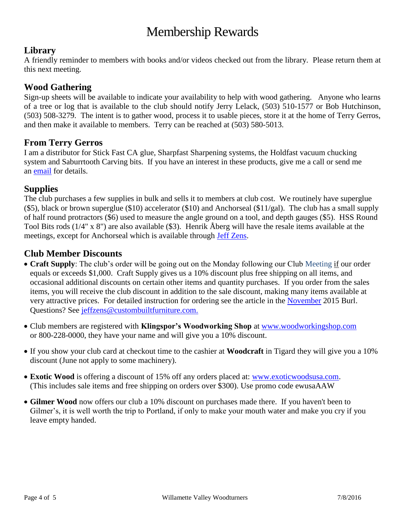# Membership Rewards

## **Library**

A friendly reminder to members with books and/or videos checked out from the library. Please return them at this next meeting.

#### **Wood Gathering**

Sign-up sheets will be available to indicate your availability to help with wood gathering. Anyone who learns of a tree or log that is available to the club should notify Jerry Lelack, (503) 510-1577 or Bob Hutchinson, (503) 508-3279. The intent is to gather wood, process it to usable pieces, store it at the home of Terry Gerros, and then make it available to members. Terry can be reached at (503) 580-5013.

#### **From Terry Gerros**

I am a distributor for Stick Fast CA glue, Sharpfast Sharpening systems, the Holdfast vacuum chucking system and Saburrtooth Carving bits. If you have an interest in these products, give me a call or send me an [email](mailto:gerrost@yahoo.com) for details.

## **Supplies**

The club purchases a few supplies in bulk and sells it to members at club cost. We routinely have superglue (\$5), black or brown superglue (\$10) accelerator (\$10) and Anchorseal (\$11/gal). The club has a small supply of half round protractors (\$6) used to measure the angle ground on a tool, and depth gauges (\$5). HSS Round Tool Bits rods (1/4" x 8") are also available (\$3). Henrik Åberg will have the resale items available at the meetings, except for Anchorseal which is available through Jeff [Zens.](mailto:jszens@custombuiltfurniture.com)

## **Club Member Discounts**

- **Craft Supply**: The club's order will be going out on the Monday following our Club Meeting if our order equals or exceeds \$1,000. Craft Supply gives us a 10% discount plus free shipping on all items, and occasional additional discounts on certain other items and quantity purchases. If you order from the sales items, you will receive the club discount in addition to the sale discount, making many items available at very attractive prices. For detailed instruction for ordering see the article in the [November](http://www.willamettevalleywoodturners.com/newsletters/2015_11_WVW_Newsletter.pdf) 2015 Burl. Questions? See [jeffzens@custombuiltfurniture.com.](mailto:jeffzens@custombuiltfurniture.com.)
- Club members are registered with **Klingspor's Woodworking Shop** at [www.woodworkingshop.com](http://www.woodworkingshop.com/)  or 800-228-0000, they have your name and will give you a 10% discount.
- If you show your club card at checkout time to the cashier at **Woodcraft** in Tigard they will give you a 10% discount (June not apply to some machinery).
- **Exotic Wood** is offering a discount of 15% off any orders placed at: [www.exoticwoodsusa.com.](http://www.exoticwoodsusa.com/) (This includes sale items and free shipping on orders over \$300). Use promo code ewusaAAW
- **Gilmer Wood** now offers our club a 10% discount on purchases made there. If you haven't been to Gilmer's, it is well worth the trip to Portland, if only to make your mouth water and make you cry if you leave empty handed.